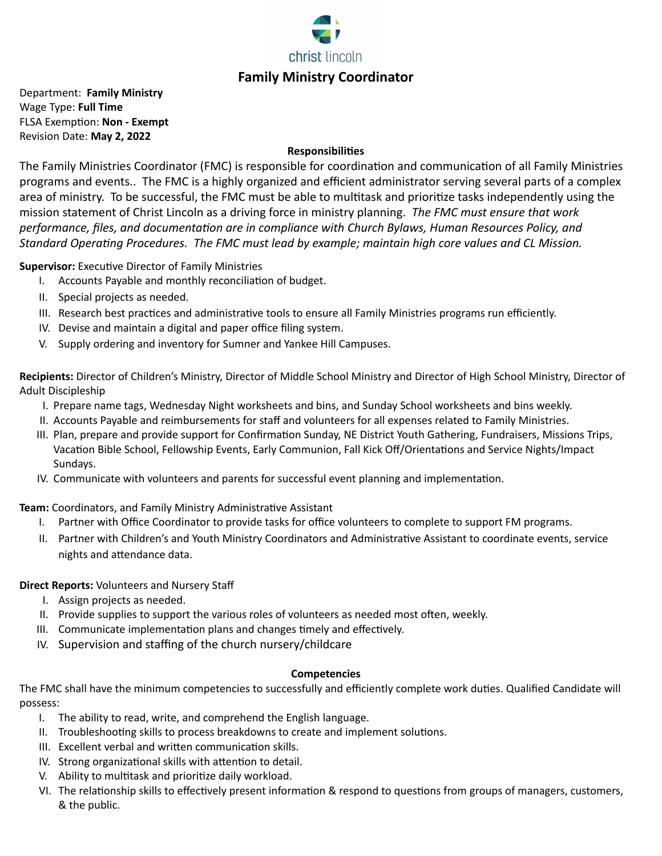

Department: **Family Ministry** Wage Type: **Full Time FLSA Exemption: Non - Exempt** Revision Date: **May 2, 2022**

### **Responsibilies**

The Family Ministries Coordinator (FMC) is responsible for coordination and communication of all Family Ministries programs and events.. The FMC is a highly organized and efficient administrator serving several parts of a complex area of ministry. To be successful, the FMC must be able to multitask and prioritize tasks independently using the mission statement of Christ Lincoln as a driving force in ministry planning. *The FMC must ensure that work* performance, files, and documentation are in compliance with Church Bylaws, Human Resources Policy, and Standard Operating Procedures. The FMC must lead by example; maintain high core values and CL Mission.

**Supervisor:** Executive Director of Family Ministries

- I. Accounts Payable and monthly reconciliation of budget.
- II. Special projects as needed.
- III. Research best practices and administrative tools to ensure all Family Ministries programs run efficiently.
- IV. Devise and maintain a digital and paper office filing system.
- V. Supply ordering and inventory for Sumner and Yankee Hill Campuses.

**Recipients:** Director of Children's Ministry, Director of Middle School Ministry and Director of High School Ministry, Director of Adult Discipleship

- I. Prepare name tags, Wednesday Night worksheets and bins, and Sunday School worksheets and bins weekly.
- II. Accounts Payable and reimbursements for staff and volunteers for all expenses related to Family Ministries.
- III. Plan, prepare and provide support for Confirmation Sunday, NE District Youth Gathering, Fundraisers, Missions Trips, Vacation Bible School, Fellowship Events, Early Communion, Fall Kick Off/Orientations and Service Nights/Impact Sundays.
- IV. Communicate with volunteers and parents for successful event planning and implementation.

**Team:** Coordinators, and Family Ministry Administrative Assistant

- I. Partner with Office Coordinator to provide tasks for office volunteers to complete to support FM programs.
- II. Partner with Children's and Youth Ministry Coordinators and Administrative Assistant to coordinate events, service nights and attendance data.

**Direct Reports:** Volunteers and Nursery Staff

- I. Assign projects as needed.
- II. Provide supplies to support the various roles of volunteers as needed most often, weekly.
- III. Communicate implementation plans and changes timely and effectively.
- IV. Supervision and staffing of the church nursery/childcare

### **Competencies**

The FMC shall have the minimum competencies to successfully and efficiently complete work duties. Qualified Candidate will possess:

- I. The ability to read, write, and comprehend the English language.
- II. Troubleshooting skills to process breakdowns to create and implement solutions.
- III. Excellent verbal and written communication skills.
- IV. Strong organizational skills with attention to detail.
- V. Ability to multitask and prioritize daily workload.
- VI. The relationship skills to effectively present information & respond to questions from groups of managers, customers, & the public.